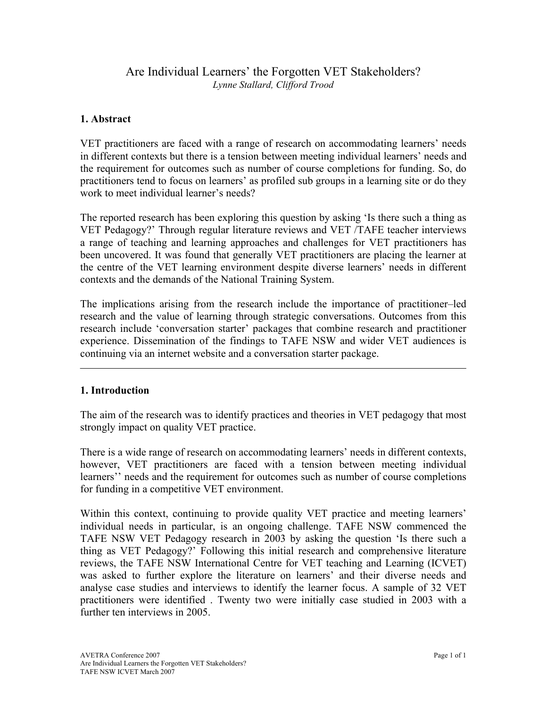#### Are Individual Learners' the Forgotten VET Stakeholders? *Lynne Stallard, Clifford Trood*

#### **1. Abstract**

VET practitioners are faced with a range of research on accommodating learners' needs in different contexts but there is a tension between meeting individual learners' needs and the requirement for outcomes such as number of course completions for funding. So, do practitioners tend to focus on learners' as profiled sub groups in a learning site or do they work to meet individual learner's needs?

The reported research has been exploring this question by asking 'Is there such a thing as VET Pedagogy?' Through regular literature reviews and VET /TAFE teacher interviews a range of teaching and learning approaches and challenges for VET practitioners has been uncovered. It was found that generally VET practitioners are placing the learner at the centre of the VET learning environment despite diverse learners' needs in different contexts and the demands of the National Training System.

The implications arising from the research include the importance of practitioner–led research and the value of learning through strategic conversations. Outcomes from this research include 'conversation starter' packages that combine research and practitioner experience. Dissemination of the findings to TAFE NSW and wider VET audiences is continuing via an internet website and a conversation starter package.

#### **1. Introduction**

The aim of the research was to identify practices and theories in VET pedagogy that most strongly impact on quality VET practice.

There is a wide range of research on accommodating learners' needs in different contexts, however, VET practitioners are faced with a tension between meeting individual learners'' needs and the requirement for outcomes such as number of course completions for funding in a competitive VET environment.

Within this context, continuing to provide quality VET practice and meeting learners' individual needs in particular, is an ongoing challenge. TAFE NSW commenced the TAFE NSW VET Pedagogy research in 2003 by asking the question 'Is there such a thing as VET Pedagogy?' Following this initial research and comprehensive literature reviews, the TAFE NSW International Centre for VET teaching and Learning (ICVET) was asked to further explore the literature on learners' and their diverse needs and analyse case studies and interviews to identify the learner focus. A sample of 32 VET practitioners were identified . Twenty two were initially case studied in 2003 with a further ten interviews in 2005.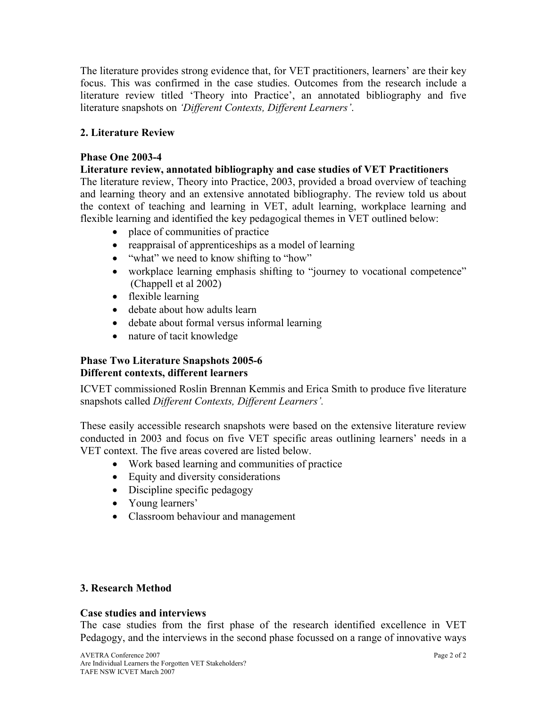The literature provides strong evidence that, for VET practitioners, learners' are their key focus. This was confirmed in the case studies. Outcomes from the research include a literature review titled 'Theory into Practice', an annotated bibliography and five literature snapshots on *'Different Contexts, Different Learners'*.

#### **2. Literature Review**

#### **Phase One 2003-4**

#### **Literature review, annotated bibliography and case studies of VET Practitioners**

The literature review, Theory into Practice, 2003, provided a broad overview of teaching and learning theory and an extensive annotated bibliography. The review told us about the context of teaching and learning in VET, adult learning, workplace learning and flexible learning and identified the key pedagogical themes in VET outlined below:

- place of communities of practice
- reappraisal of apprenticeships as a model of learning
- "what" we need to know shifting to "how"
- workplace learning emphasis shifting to "journey to vocational competence" (Chappell et al 2002)
- flexible learning
- debate about how adults learn
- debate about formal versus informal learning
- nature of tacit knowledge

### **Phase Two Literature Snapshots 2005-6 Different contexts, different learners**

ICVET commissioned Roslin Brennan Kemmis and Erica Smith to produce five literature snapshots called *Different Contexts, Different Learners'.* 

These easily accessible research snapshots were based on the extensive literature review conducted in 2003 and focus on five VET specific areas outlining learners' needs in a VET context. The five areas covered are listed below.

- Work based learning and communities of practice
- Equity and diversity considerations
- Discipline specific pedagogy
- Young learners'
- Classroom behaviour and management

#### **3. Research Method**

#### **Case studies and interviews**

The case studies from the first phase of the research identified excellence in VET Pedagogy, and the interviews in the second phase focussed on a range of innovative ways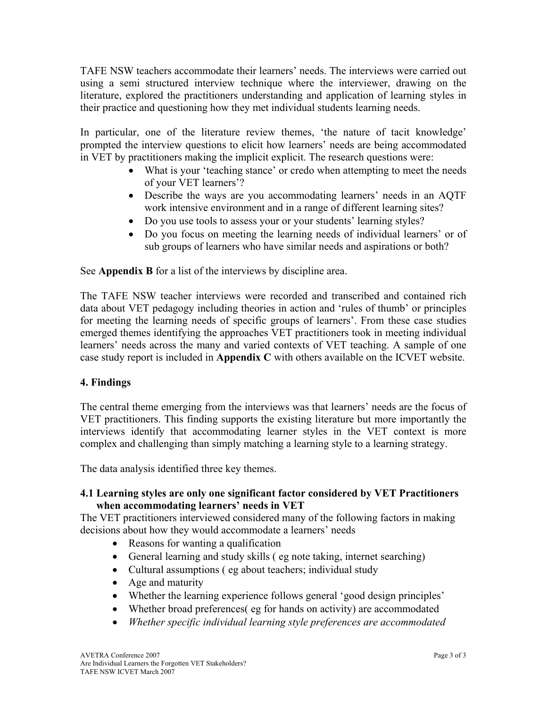TAFE NSW teachers accommodate their learners' needs. The interviews were carried out using a semi structured interview technique where the interviewer, drawing on the literature, explored the practitioners understanding and application of learning styles in their practice and questioning how they met individual students learning needs.

In particular, one of the literature review themes, 'the nature of tacit knowledge' prompted the interview questions to elicit how learners' needs are being accommodated in VET by practitioners making the implicit explicit. The research questions were:

- What is your 'teaching stance' or credo when attempting to meet the needs of your VET learners'?
- Describe the ways are you accommodating learners' needs in an AQTF work intensive environment and in a range of different learning sites?
- Do you use tools to assess your or your students' learning styles?
- Do you focus on meeting the learning needs of individual learners' or of sub groups of learners who have similar needs and aspirations or both?

See **Appendix B** for a list of the interviews by discipline area.

The TAFE NSW teacher interviews were recorded and transcribed and contained rich data about VET pedagogy including theories in action and 'rules of thumb' or principles for meeting the learning needs of specific groups of learners'. From these case studies emerged themes identifying the approaches VET practitioners took in meeting individual learners' needs across the many and varied contexts of VET teaching. A sample of one case study report is included in **Appendix C** with others available on the ICVET website.

#### **4. Findings**

The central theme emerging from the interviews was that learners' needs are the focus of VET practitioners. This finding supports the existing literature but more importantly the interviews identify that accommodating learner styles in the VET context is more complex and challenging than simply matching a learning style to a learning strategy.

The data analysis identified three key themes.

#### **4.1 Learning styles are only one significant factor considered by VET Practitioners when accommodating learners' needs in VET**

The VET practitioners interviewed considered many of the following factors in making decisions about how they would accommodate a learners' needs

- Reasons for wanting a qualification
- General learning and study skills ( eg note taking, internet searching)
- Cultural assumptions (eg about teachers; individual study
- Age and maturity
- Whether the learning experience follows general 'good design principles'
- Whether broad preferences (eg for hands on activity) are accommodated
- *Whether specific individual learning style preferences are accommodated*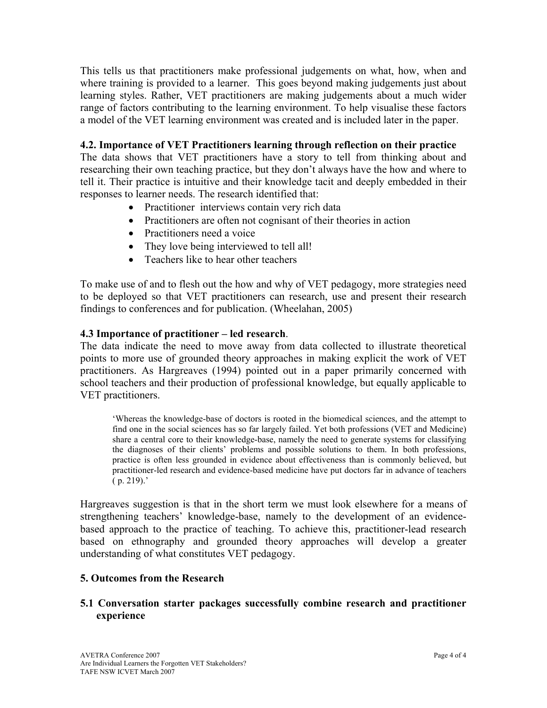This tells us that practitioners make professional judgements on what, how, when and where training is provided to a learner. This goes beyond making judgements just about learning styles. Rather, VET practitioners are making judgements about a much wider range of factors contributing to the learning environment. To help visualise these factors a model of the VET learning environment was created and is included later in the paper.

#### **4.2. Importance of VET Practitioners learning through reflection on their practice**

The data shows that VET practitioners have a story to tell from thinking about and researching their own teaching practice, but they don't always have the how and where to tell it. Their practice is intuitive and their knowledge tacit and deeply embedded in their responses to learner needs. The research identified that:

- Practitioner interviews contain very rich data
- Practitioners are often not cognisant of their theories in action
- Practitioners need a voice
- They love being interviewed to tell all!
- Teachers like to hear other teachers

To make use of and to flesh out the how and why of VET pedagogy, more strategies need to be deployed so that VET practitioners can research, use and present their research findings to conferences and for publication. (Wheelahan, 2005)

#### **4.3 Importance of practitioner – led research**.

The data indicate the need to move away from data collected to illustrate theoretical points to more use of grounded theory approaches in making explicit the work of VET practitioners. As Hargreaves (1994) pointed out in a paper primarily concerned with school teachers and their production of professional knowledge, but equally applicable to VET practitioners.

'Whereas the knowledge-base of doctors is rooted in the biomedical sciences, and the attempt to find one in the social sciences has so far largely failed. Yet both professions (VET and Medicine) share a central core to their knowledge-base, namely the need to generate systems for classifying the diagnoses of their clients' problems and possible solutions to them. In both professions, practice is often less grounded in evidence about effectiveness than is commonly believed, but practitioner-led research and evidence-based medicine have put doctors far in advance of teachers  $(p. 219)$ .

Hargreaves suggestion is that in the short term we must look elsewhere for a means of strengthening teachers' knowledge-base, namely to the development of an evidencebased approach to the practice of teaching. To achieve this, practitioner-lead research based on ethnography and grounded theory approaches will develop a greater understanding of what constitutes VET pedagogy.

#### **5. Outcomes from the Research**

#### **5.1 Conversation starter packages successfully combine research and practitioner experience**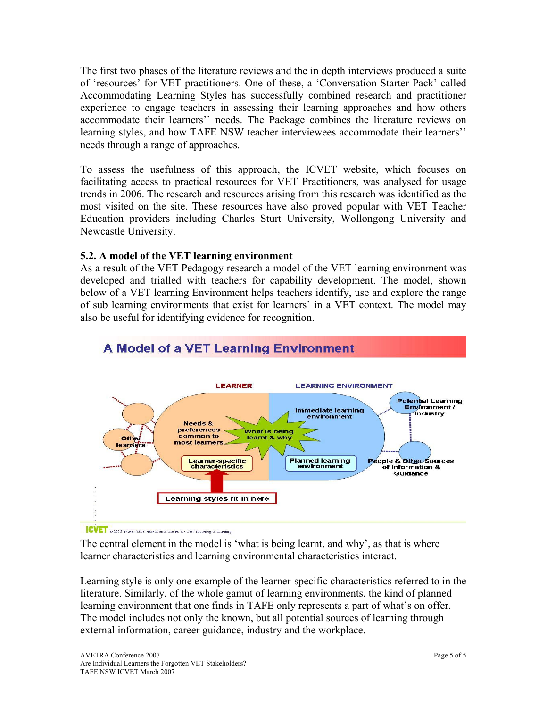The first two phases of the literature reviews and the in depth interviews produced a suite of 'resources' for VET practitioners. One of these, a 'Conversation Starter Pack' called Accommodating Learning Styles has successfully combined research and practitioner experience to engage teachers in assessing their learning approaches and how others accommodate their learners'' needs. The Package combines the literature reviews on learning styles, and how TAFE NSW teacher interviewees accommodate their learners'' needs through a range of approaches.

To assess the usefulness of this approach, the ICVET website, which focuses on facilitating access to practical resources for VET Practitioners, was analysed for usage trends in 2006. The research and resources arising from this research was identified as the most visited on the site. These resources have also proved popular with VET Teacher Education providers including Charles Sturt University, Wollongong University and Newcastle University.

#### **5.2. A model of the VET learning environment**

As a result of the VET Pedagogy research a model of the VET learning environment was developed and trialled with teachers for capability development. The model, shown below of a VET learning Environment helps teachers identify, use and explore the range of sub learning environments that exist for learners' in a VET context. The model may also be useful for identifying evidence for recognition.



### **A Model of a VET Learning Environment**

#### **ICVET** © 2005 TAFE NSW International Centre for VET Teaching & Learning

The central element in the model is 'what is being learnt, and why', as that is where learner characteristics and learning environmental characteristics interact.

Learning style is only one example of the learner-specific characteristics referred to in the literature. Similarly, of the whole gamut of learning environments, the kind of planned learning environment that one finds in TAFE only represents a part of what's on offer. The model includes not only the known, but all potential sources of learning through external information, career guidance, industry and the workplace.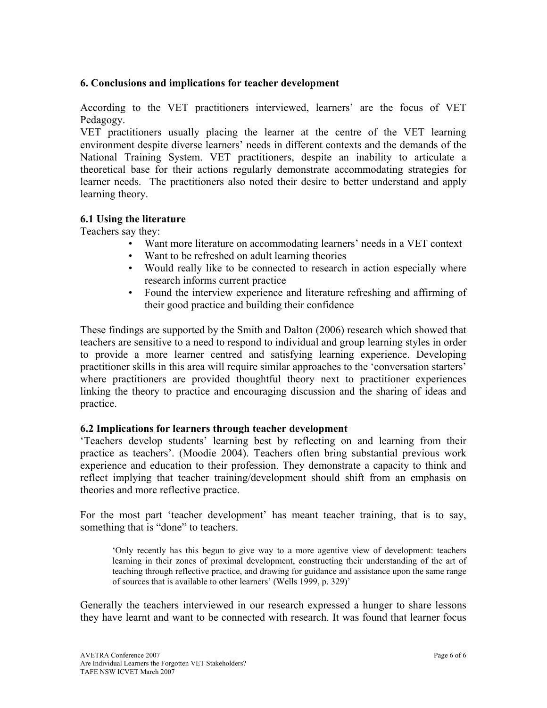#### **6. Conclusions and implications for teacher development**

According to the VET practitioners interviewed, learners' are the focus of VET Pedagogy.

VET practitioners usually placing the learner at the centre of the VET learning environment despite diverse learners' needs in different contexts and the demands of the National Training System. VET practitioners, despite an inability to articulate a theoretical base for their actions regularly demonstrate accommodating strategies for learner needs. The practitioners also noted their desire to better understand and apply learning theory.

#### **6.1 Using the literature**

Teachers say they:

- Want more literature on accommodating learners' needs in a VET context
- Want to be refreshed on adult learning theories
- Would really like to be connected to research in action especially where research informs current practice
- Found the interview experience and literature refreshing and affirming of their good practice and building their confidence

These findings are supported by the Smith and Dalton (2006) research which showed that teachers are sensitive to a need to respond to individual and group learning styles in order to provide a more learner centred and satisfying learning experience. Developing practitioner skills in this area will require similar approaches to the 'conversation starters' where practitioners are provided thoughtful theory next to practitioner experiences linking the theory to practice and encouraging discussion and the sharing of ideas and practice.

#### **6.2 Implications for learners through teacher development**

'Teachers develop students' learning best by reflecting on and learning from their practice as teachers'. (Moodie 2004). Teachers often bring substantial previous work experience and education to their profession. They demonstrate a capacity to think and reflect implying that teacher training/development should shift from an emphasis on theories and more reflective practice.

For the most part 'teacher development' has meant teacher training, that is to say, something that is "done" to teachers.

'Only recently has this begun to give way to a more agentive view of development: teachers learning in their zones of proximal development, constructing their understanding of the art of teaching through reflective practice, and drawing for guidance and assistance upon the same range of sources that is available to other learners' (Wells 1999, p. 329)'

Generally the teachers interviewed in our research expressed a hunger to share lessons they have learnt and want to be connected with research. It was found that learner focus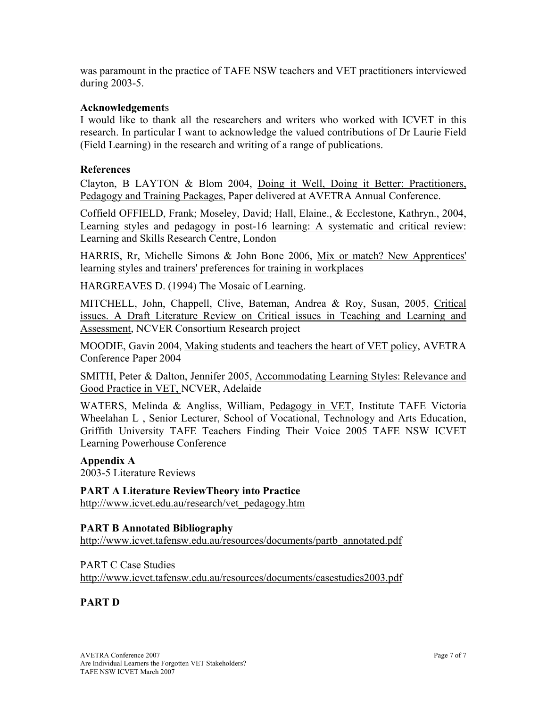was paramount in the practice of TAFE NSW teachers and VET practitioners interviewed during 2003-5.

#### **Acknowledgement**s

I would like to thank all the researchers and writers who worked with ICVET in this research. In particular I want to acknowledge the valued contributions of Dr Laurie Field (Field Learning) in the research and writing of a range of publications.

#### **References**

Clayton, B LAYTON & Blom 2004, Doing it Well, Doing it Better: Practitioners, Pedagogy and Training Packages, Paper delivered at AVETRA Annual Conference.

Coffield OFFIELD, Frank; Moseley, David; Hall, Elaine., & Ecclestone, Kathryn., 2004, Learning styles and pedagogy in post-16 learning: A systematic and critical review: Learning and Skills Research Centre, London

HARRIS, Rr, Michelle Simons & John Bone 2006, Mix or match? New Apprentices' learning styles and trainers' preferences for training in workplaces

HARGREAVES D. (1994) The Mosaic of Learning.

MITCHELL, John, Chappell, Clive, Bateman, Andrea & Roy, Susan, 2005, Critical issues. A Draft Literature Review on Critical issues in Teaching and Learning and Assessment, NCVER Consortium Research project

MOODIE, Gavin 2004, Making students and teachers the heart of VET policy, AVETRA Conference Paper 2004

SMITH, Peter & Dalton, Jennifer 2005, Accommodating Learning Styles: Relevance and Good Practice in VET, NCVER, Adelaide

WATERS, Melinda & Angliss, William, Pedagogy in VET, Institute TAFE Victoria Wheelahan L , Senior Lecturer, School of Vocational, Technology and Arts Education, Griffith University TAFE Teachers Finding Their Voice 2005 TAFE NSW ICVET Learning Powerhouse Conference

#### **Appendix A**

2003-5 Literature Reviews

#### **PART A Literature ReviewTheory into Practice**

http://www.icvet.edu.au/research/vet\_pedagogy.htm

#### **PART B Annotated Bibliography**

http://www.icvet.tafensw.edu.au/resources/documents/partb\_annotated.pdf

PART C Case Studies http://www.icvet.tafensw.edu.au/resources/documents/casestudies2003.pdf

#### **PART D**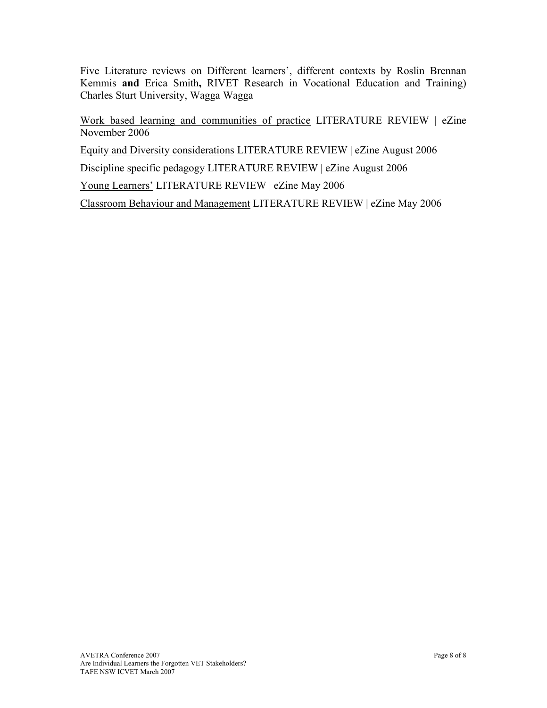Five Literature reviews on Different learners', different contexts by Roslin Brennan Kemmis **and** Erica Smith**,** RIVET Research in Vocational Education and Training) Charles Sturt University, Wagga Wagga

Work based learning and communities of practice LITERATURE REVIEW | eZine November 2006

Equity and Diversity considerations LITERATURE REVIEW | eZine August 2006

Discipline specific pedagogy LITERATURE REVIEW | eZine August 2006

Young Learners' LITERATURE REVIEW | eZine May 2006

Classroom Behaviour and Management LITERATURE REVIEW | eZine May 2006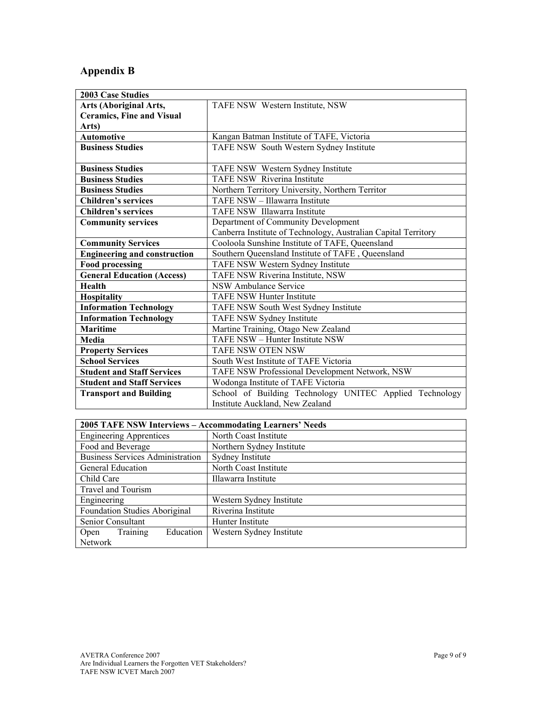### **Appendix B**

| <b>2003 Case Studies</b>            |                                                                |
|-------------------------------------|----------------------------------------------------------------|
| Arts (Aboriginal Arts,              | TAFE NSW Western Institute, NSW                                |
| <b>Ceramics, Fine and Visual</b>    |                                                                |
| Arts)                               |                                                                |
| Automotive                          | Kangan Batman Institute of TAFE, Victoria                      |
| <b>Business Studies</b>             | TAFE NSW South Western Sydney Institute                        |
|                                     |                                                                |
| <b>Business Studies</b>             | TAFE NSW Western Sydney Institute                              |
| <b>Business Studies</b>             | <b>TAFE NSW Riverina Institute</b>                             |
| <b>Business Studies</b>             | Northern Territory University, Northern Territor               |
| <b>Children's services</b>          | TAFE NSW - Illawarra Institute                                 |
| <b>Children's services</b>          | TAFE NSW Illawarra Institute                                   |
| <b>Community services</b>           | Department of Community Development                            |
|                                     | Canberra Institute of Technology, Australian Capital Territory |
| <b>Community Services</b>           | Cooloola Sunshine Institute of TAFE, Queensland                |
| <b>Engineering and construction</b> | Southern Queensland Institute of TAFE, Queensland              |
| <b>Food processing</b>              | TAFE NSW Western Sydney Institute                              |
| <b>General Education (Access)</b>   | TAFE NSW Riverina Institute, NSW                               |
| <b>Health</b>                       | <b>NSW Ambulance Service</b>                                   |
| Hospitality                         | <b>TAFE NSW Hunter Institute</b>                               |
| <b>Information Technology</b>       | TAFE NSW South West Sydney Institute                           |
| <b>Information Technology</b>       | TAFE NSW Sydney Institute                                      |
| <b>Maritime</b>                     | Martine Training, Otago New Zealand                            |
| Media                               | TAFE NSW - Hunter Institute NSW                                |
| <b>Property Services</b>            | TAFE NSW OTEN NSW                                              |
| <b>School Services</b>              | South West Institute of TAFE Victoria                          |
| <b>Student and Staff Services</b>   | TAFE NSW Professional Development Network, NSW                 |
| <b>Student and Staff Services</b>   | Wodonga Institute of TAFE Victoria                             |
| <b>Transport and Building</b>       | School of Building Technology UNITEC Applied Technology        |
|                                     | Institute Auckland, New Zealand                                |

| 2005 TAFE NSW Interviews - Accommodating Learners' Needs |                           |
|----------------------------------------------------------|---------------------------|
| <b>Engineering Apprentices</b>                           | North Coast Institute     |
| Food and Beverage                                        | Northern Sydney Institute |
| <b>Business Services Administration</b>                  | Sydney Institute          |
| General Education                                        | North Coast Institute     |
| Child Care                                               | Illawarra Institute       |
| Travel and Tourism                                       |                           |
| Engineering                                              | Western Sydney Institute  |
| <b>Foundation Studies Aboriginal</b>                     | Riverina Institute        |
| Senior Consultant                                        | Hunter Institute          |
| Training<br>Education<br>Open                            | Western Sydney Institute  |
| Network                                                  |                           |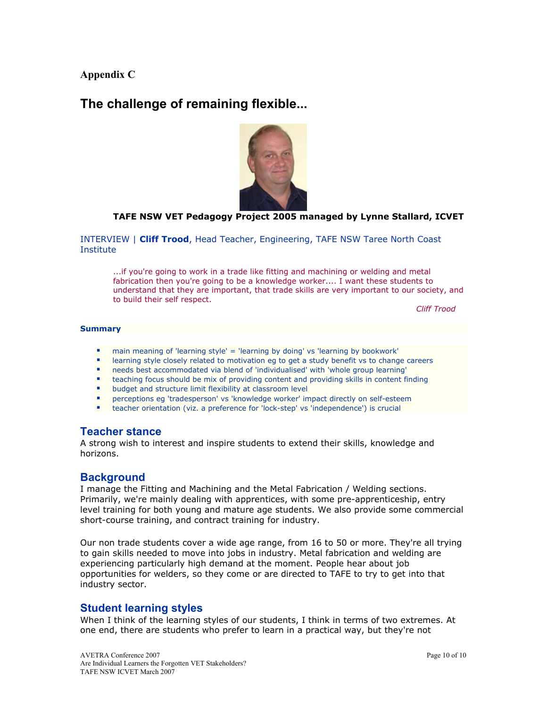**Appendix C** 

### **The challenge of remaining flexible...**



#### **TAFE NSW VET Pedagogy Project 2005 managed by Lynne Stallard, ICVET**

INTERVIEW | **Cliff Trood**, Head Teacher, Engineering, TAFE NSW Taree North Coast Institute

...if you're going to work in a trade like fitting and machining or welding and metal fabrication then you're going to be a knowledge worker.... I want these students to understand that they are important, that trade skills are very important to our society, and to build their self respect.

*Cliff Trood* 

#### **Summary**

- main meaning of 'learning style' = 'learning by doing' vs 'learning by bookwork'
- **EXECUTE:** learning style closely related to motivation eg to get a study benefit vs to change careers
- needs best accommodated via blend of 'individualised' with 'whole group learning'
- **\*** teaching focus should be mix of providing content and providing skills in content finding
- **•** budget and structure limit flexibility at classroom level
- perceptions eg 'tradesperson' vs 'knowledge worker' impact directly on self-esteem
- teacher orientation (viz. a preference for 'lock-step' vs 'independence') is crucial

#### **Teacher stance**

A strong wish to interest and inspire students to extend their skills, knowledge and horizons.

#### **Background**

I manage the Fitting and Machining and the Metal Fabrication / Welding sections. Primarily, we're mainly dealing with apprentices, with some pre-apprenticeship, entry level training for both young and mature age students. We also provide some commercial short-course training, and contract training for industry.

Our non trade students cover a wide age range, from 16 to 50 or more. They're all trying to gain skills needed to move into jobs in industry. Metal fabrication and welding are experiencing particularly high demand at the moment. People hear about job opportunities for welders, so they come or are directed to TAFE to try to get into that industry sector.

#### **Student learning styles**

When I think of the learning styles of our students, I think in terms of two extremes. At one end, there are students who prefer to learn in a practical way, but they're not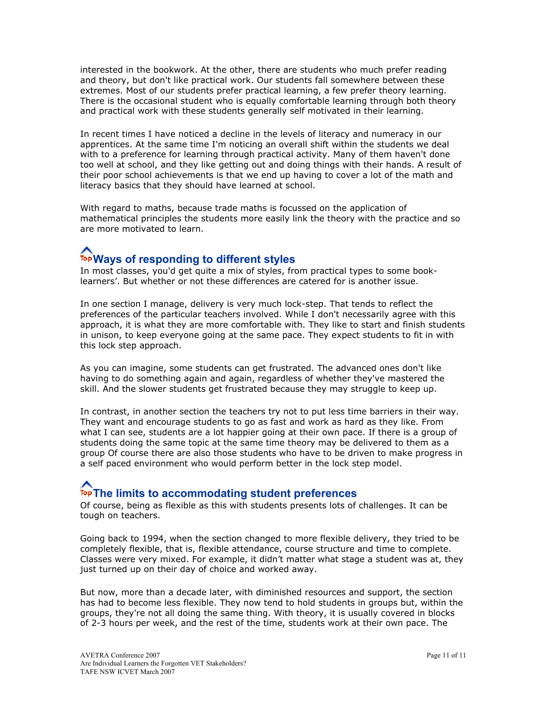interested in the bookwork. At the other, there are students who much prefer reading and theory, but don't like practical work. Our students fall somewhere between these extremes. Most of our students prefer practical learning, a few prefer theory learning. There is the occasional student who is equally comfortable learning through both theory and practical work with these students generally self motivated in their learning.

In recent times I have noticed a decline in the levels of literacy and numeracy in our apprentices. At the same time I'm noticing an overall shift within the students we deal with to a preference for learning through practical activity. Many of them haven't done too well at school, and they like getting out and doing things with their hands. A result of their poor school achievements is that we end up having to cover a lot of the math and literacy basics that they should have learned at school.

With regard to maths, because trade maths is focussed on the application of mathematical principles the students more easily link the theory with the practice and so are more motivated to learn.

## **Ways of responding to different styles**

In most classes, you'd get quite a mix of styles, from practical types to some booklearners'. But whether or not these differences are catered for is another issue.

In one section I manage, delivery is very much lock-step. That tends to reflect the preferences of the particular teachers involved. While I don't necessarily agree with this approach, it is what they are more comfortable with. They like to start and finish students in unison, to keep everyone going at the same pace. They expect students to fit in with this lock step approach.

As you can imagine, some students can get frustrated. The advanced ones don't like having to do something again and again, regardless of whether they've mastered the skill. And the slower students get frustrated because they may struggle to keep up.

In contrast, in another section the teachers try not to put less time barriers in their way. They want and encourage students to go as fast and work as hard as they like. From what I can see, students are a lot happier going at their own pace. If there is a group of students doing the same topic at the same time theory may be delivered to them as a group Of course there are also those students who have to be driven to make progress in a self paced environment who would perform better in the lock step model.

## **The limits to accommodating student preferences**

Of course, being as flexible as this with students presents lots of challenges. It can be tough on teachers.

Going back to 1994, when the section changed to more flexible delivery, they tried to be completely flexible, that is, flexible attendance, course structure and time to complete. Classes were very mixed. For example, it didn't matter what stage a student was at, they just turned up on their day of choice and worked away.

But now, more than a decade later, with diminished resources and support, the section has had to become less flexible. They now tend to hold students in groups but, within the groups, they're not all doing the same thing. With theory, it is usually covered in blocks of 2-3 hours per week, and the rest of the time, students work at their own pace. The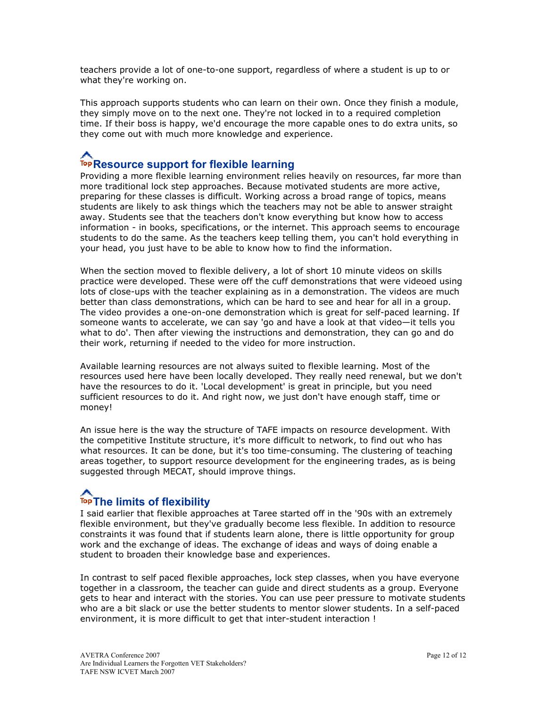teachers provide a lot of one-to-one support, regardless of where a student is up to or what they're working on.

This approach supports students who can learn on their own. Once they finish a module, they simply move on to the next one. They're not locked in to a required completion time. If their boss is happy, we'd encourage the more capable ones to do extra units, so they come out with much more knowledge and experience.

## **Resource support for flexible learning**

Providing a more flexible learning environment relies heavily on resources, far more than more traditional lock step approaches. Because motivated students are more active, preparing for these classes is difficult. Working across a broad range of topics, means students are likely to ask things which the teachers may not be able to answer straight away. Students see that the teachers don't know everything but know how to access information - in books, specifications, or the internet. This approach seems to encourage students to do the same. As the teachers keep telling them, you can't hold everything in your head, you just have to be able to know how to find the information.

When the section moved to flexible delivery, a lot of short 10 minute videos on skills practice were developed. These were off the cuff demonstrations that were videoed using lots of close-ups with the teacher explaining as in a demonstration. The videos are much better than class demonstrations, which can be hard to see and hear for all in a group. The video provides a one-on-one demonstration which is great for self-paced learning. If someone wants to accelerate, we can say 'go and have a look at that video—it tells you what to do'. Then after viewing the instructions and demonstration, they can go and do their work, returning if needed to the video for more instruction.

Available learning resources are not always suited to flexible learning. Most of the resources used here have been locally developed. They really need renewal, but we don't have the resources to do it. 'Local development' is great in principle, but you need sufficient resources to do it. And right now, we just don't have enough staff, time or money!

An issue here is the way the structure of TAFE impacts on resource development. With the competitive Institute structure, it's more difficult to network, to find out who has what resources. It can be done, but it's too time-consuming. The clustering of teaching areas together, to support resource development for the engineering trades, as is being suggested through MECAT, should improve things.

## **TOP The limits of flexibility**

I said earlier that flexible approaches at Taree started off in the '90s with an extremely flexible environment, but they've gradually become less flexible. In addition to resource constraints it was found that if students learn alone, there is little opportunity for group work and the exchange of ideas. The exchange of ideas and ways of doing enable a student to broaden their knowledge base and experiences.

In contrast to self paced flexible approaches, lock step classes, when you have everyone together in a classroom, the teacher can guide and direct students as a group. Everyone gets to hear and interact with the stories. You can use peer pressure to motivate students who are a bit slack or use the better students to mentor slower students. In a self-paced environment, it is more difficult to get that inter-student interaction !